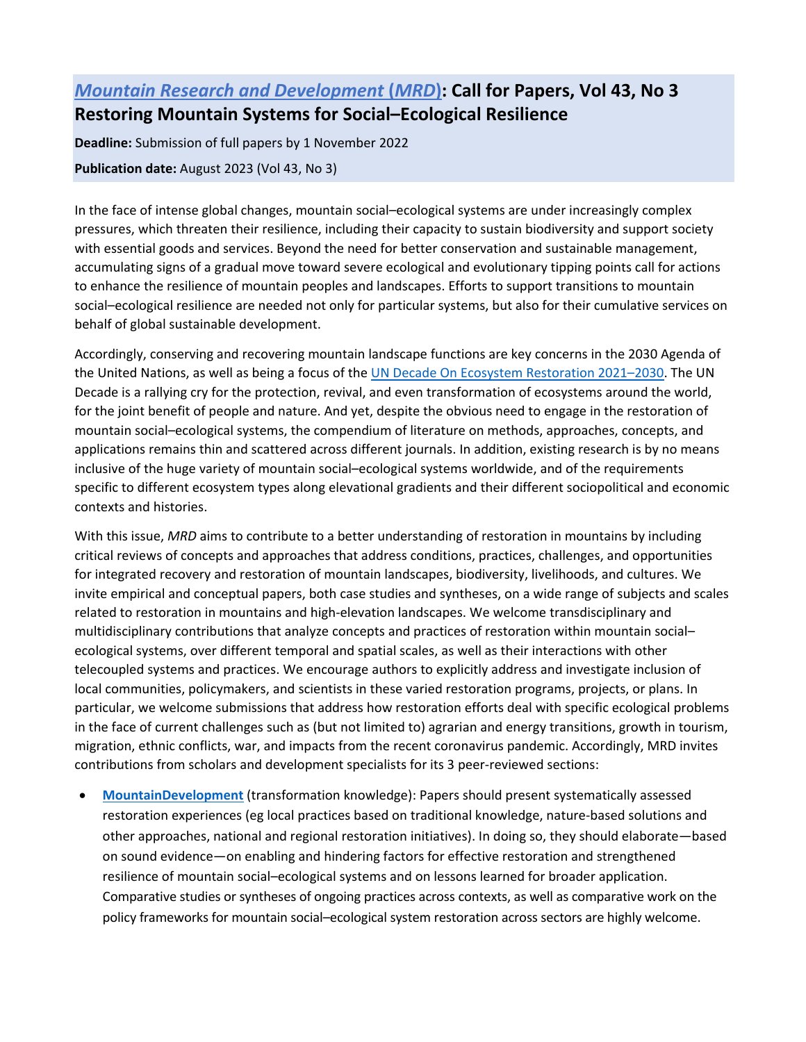## *[Mountain Research and Development](https://www.mrd-journal.org/)* **[\(](https://www.mrd-journal.org/)***[MRD](http://www.mrd-journal.org/)***[\):](http://www.mrd-journal.org/) Call for Papers, Vol 43, No 3 Restoring Mountain Systems for Social–Ecological Resilience**

**Deadline:** Submission of full papers by 1 November 2022

**Publication date:** August 2023 (Vol 43, No 3)

In the face of intense global changes, mountain social–ecological systems are under increasingly complex pressures, which threaten their resilience, including their capacity to sustain biodiversity and support society with essential goods and services. Beyond the need for better conservation and sustainable management, accumulating signs of a gradual move toward severe ecological and evolutionary tipping points call for actions to enhance the resilience of mountain peoples and landscapes. Efforts to support transitions to mountain social–ecological resilience are needed not only for particular systems, but also for their cumulative services on behalf of global sustainable development.

Accordingly, conserving and recovering mountain landscape functions are key concerns in the 2030 Agenda of the United Nations, as well as being a focus of the [UN Decade On Ecosystem Restoration 2021–2030.](https://www.decadeonrestoration.org/) The UN Decade is a rallying cry for the protection, revival, and even transformation of ecosystems around the world, for the joint benefit of people and nature. And yet, despite the obvious need to engage in the restoration of mountain social–ecological systems, the compendium of literature on methods, approaches, concepts, and applications remains thin and scattered across different journals. In addition, existing research is by no means inclusive of the huge variety of mountain social–ecological systems worldwide, and of the requirements specific to different ecosystem types along elevational gradients and their different sociopolitical and economic contexts and histories.

With this issue, *MRD* aims to contribute to a better understanding of restoration in mountains by including critical reviews of concepts and approaches that address conditions, practices, challenges, and opportunities for integrated recovery and restoration of mountain landscapes, biodiversity, livelihoods, and cultures. We invite empirical and conceptual papers, both case studies and syntheses, on a wide range of subjects and scales related to restoration in mountains and high-elevation landscapes. We welcome transdisciplinary and multidisciplinary contributions that analyze concepts and practices of restoration within mountain social– ecological systems, over different temporal and spatial scales, as well as their interactions with other telecoupled systems and practices. We encourage authors to explicitly address and investigate inclusion of local communities, policymakers, and scientists in these varied restoration programs, projects, or plans. In particular, we welcome submissions that address how restoration efforts deal with specific ecological problems in the face of current challenges such as (but not limited to) agrarian and energy transitions, growth in tourism, migration, ethnic conflicts, war, and impacts from the recent coronavirus pandemic. Accordingly, MRD invites contributions from scholars and development specialists for its 3 peer-reviewed sections:

• **[MountainDevelopment](https://www.mrd-journal.org/about/section-policies/#MountainDevelopment)** (transformation knowledge): Papers should present systematically assessed restoration experiences (eg local practices based on traditional knowledge, nature-based solutions and other approaches, national and regional restoration initiatives). In doing so, they should elaborate—based on sound evidence—on enabling and hindering factors for effective restoration and strengthened resilience of mountain social–ecological systems and on lessons learned for broader application. Comparative studies or syntheses of ongoing practices across contexts, as well as comparative work on the policy frameworks for mountain social–ecological system restoration across sectors are highly welcome.